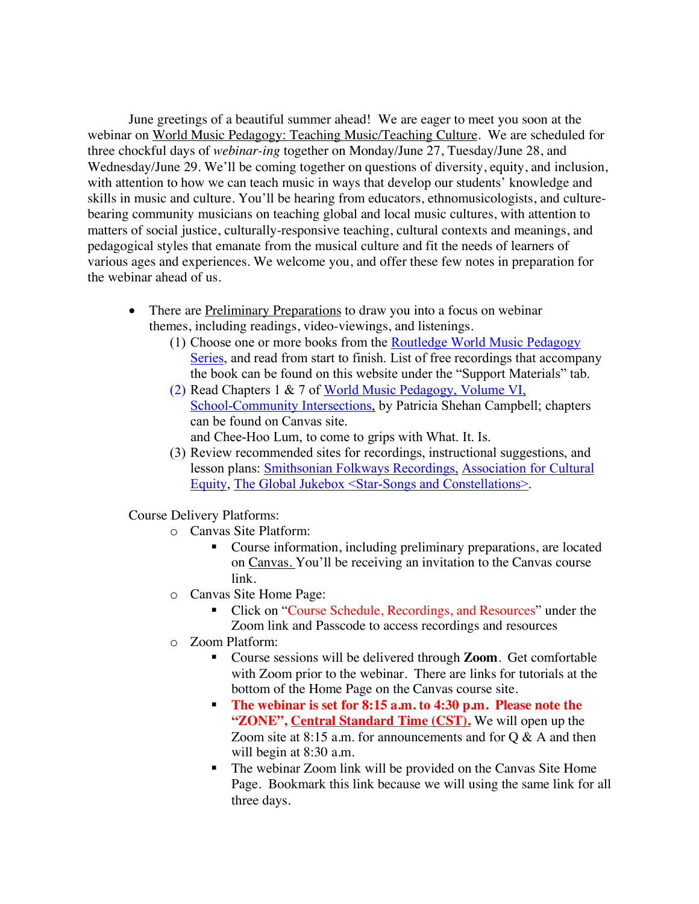June greetings of a beautiful summer ahead! We are eager to meet you soon at the webinar on World Music Pedagogy: Teaching Music/Teaching Culture. We are scheduled for three chockful days of *webinar-ing* together on Monday/June 27, Tuesday/June 28, and Wednesday/June 29. We'll be coming together on questions of diversity, equity, and inclusion, with attention to how we can teach music in ways that develop our students' knowledge and skills in music and culture. You'll be hearing from educators, ethnomusicologists, and culturebearing community musicians on teaching global and local music cultures, with attention to matters of social justice, culturally-responsive teaching, cultural contexts and meanings, and pedagogical styles that emanate from the musical culture and fit the needs of learners of various ages and experiences. We welcome you, and offer these few notes in preparation for the webinar ahead of us.

- There are **Preliminary Preparations** to draw you into a focus on webinar themes, including readings, video-viewings, and listenings.
	- (1) Choose one or more books from the Routledge World Music Pedagogy Series, and read from start to finish. List of free recordings that accompany the book can be found on this website under the "Support Materials" tab.
	- (2) Read Chapters 1 & 7 of World Music Pedagogy, Volume VI, School-Community Intersections, by Patricia Shehan Campbell; chapters can be found on Canvas site. and Chee-Hoo Lum, to come to grips with What. It. Is.
	- (3) Review recommended sites for recordings, instructional suggestions, and lesson plans: Smithsonian Folkways Recordings, Association for Cultural Equity, The Global Jukebox <Star-Songs and Constellations>.

Course Delivery Platforms:

- o Canvas Site Platform:
	- Course information, including preliminary preparations, are located on Canvas. You'll be receiving an invitation to the Canvas course link.
- o Canvas Site Home Page:
	- § Click on "Course Schedule, Recordings, and Resources" under the Zoom link and Passcode to access recordings and resources
- o Zoom Platform:
	- Course sessions will be delivered through **Zoom**. Get comfortable with Zoom prior to the webinar. There are links for tutorials at the bottom of the Home Page on the Canvas course site.
	- § **The webinar is set for 8:15 a.m. to 4:30 p.m. Please note the "ZONE", Central Standard Time (CST).** We will open up the Zoom site at 8:15 a.m. for announcements and for Q & A and then will begin at 8:30 a.m.
	- The webinar Zoom link will be provided on the Canvas Site Home Page. Bookmark this link because we will using the same link for all three days.